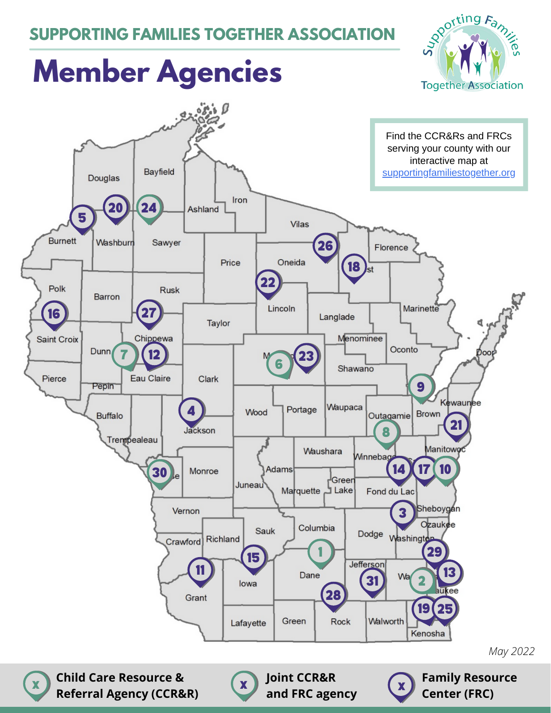#### **SUPPORTING FAMILIES TOGETHER ASSOCIATION**



# **Member Agencies**

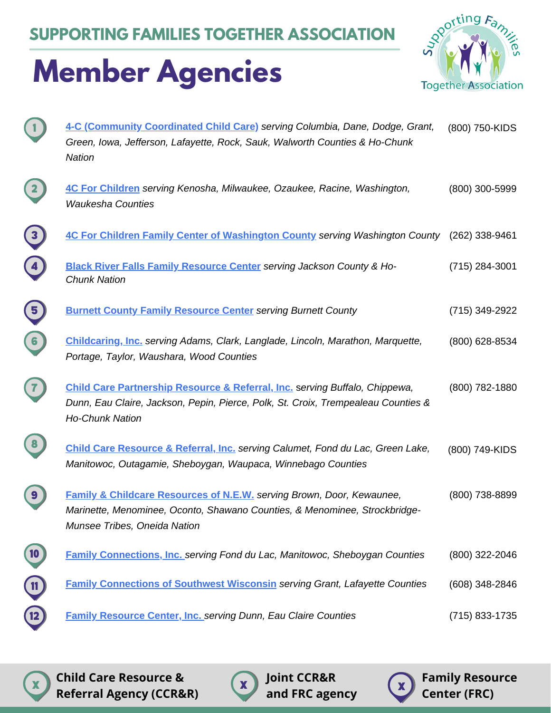**SUPPORTING FAMILIES TOGETHER ASSOCIATION**

### **Member Agencies**



| 4-C (Community Coordinated Child Care) serving Columbia, Dane, Dodge, Grant,<br>Green, Iowa, Jefferson, Lafayette, Rock, Sauk, Walworth Counties & Ho-Chunk<br><b>Nation</b>                          | (800) 750-KIDS   |
|-------------------------------------------------------------------------------------------------------------------------------------------------------------------------------------------------------|------------------|
| 4C For Children serving Kenosha, Milwaukee, Ozaukee, Racine, Washington,<br><b>Waukesha Counties</b>                                                                                                  | $(800)$ 300-5999 |
| 4C For Children Family Center of Washington County serving Washington County (262) 338-9461                                                                                                           |                  |
| <b>Black River Falls Family Resource Center</b> serving Jackson County & Ho-<br><b>Chunk Nation</b>                                                                                                   | (715) 284-3001   |
| <b>Burnett County Family Resource Center</b> serving Burnett County                                                                                                                                   | (715) 349-2922   |
| Childcaring, Inc. serving Adams, Clark, Langlade, Lincoln, Marathon, Marquette,<br>Portage, Taylor, Waushara, Wood Counties                                                                           | (800) 628-8534   |
| <b>Child Care Partnership Resource &amp; Referral, Inc. serving Buffalo, Chippewa,</b><br>Dunn, Eau Claire, Jackson, Pepin, Pierce, Polk, St. Croix, Trempealeau Counties &<br><b>Ho-Chunk Nation</b> | (800) 782-1880   |
| Child Care Resource & Referral, Inc. serving Calumet, Fond du Lac, Green Lake,<br>Manitowoc, Outagamie, Sheboygan, Waupaca, Winnebago Counties                                                        | (800) 749-KIDS   |
| <b>Family &amp; Childcare Resources of N.E.W.</b> serving Brown, Door, Kewaunee,<br>Marinette, Menominee, Oconto, Shawano Counties, & Menominee, Strockbridge-<br>Munsee Tribes, Oneida Nation        | (800) 738-8899   |
| <b>Family Connections, Inc. serving Fond du Lac, Manitowoc, Sheboygan Counties</b>                                                                                                                    | (800) 322-2046   |
| <b>Family Connections of Southwest Wisconsin serving Grant, Lafayette Counties</b>                                                                                                                    | (608) 348-2846   |
| <b>Family Resource Center, Inc. serving Dunn, Eau Claire Counties</b>                                                                                                                                 | (715) 833-1735   |

**Child Care Resource & Referral Agency (CCR&R)**  $\mathbf{x}$  x critic care resource  $\alpha$   $\mathbf{x}$  y joint curver  $\mathbf{x}$  x  $\mathbf{x}$ 

**Joint CCR&R and FRC agency**

x

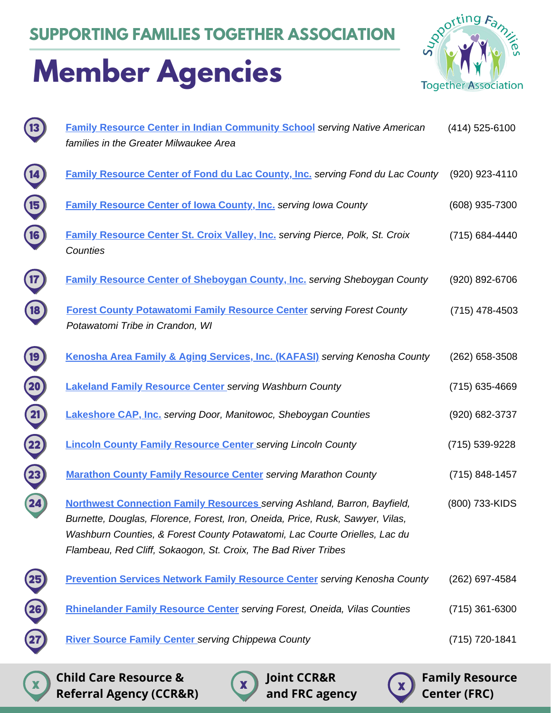# **Member Agencies**



| $\overline{13}$          | <b>Family Resource Center in Indian Community School serving Native American</b><br>families in the Greater Milwaukee Area                                                                                                                                                                                        | (414) 525-6100   |
|--------------------------|-------------------------------------------------------------------------------------------------------------------------------------------------------------------------------------------------------------------------------------------------------------------------------------------------------------------|------------------|
|                          |                                                                                                                                                                                                                                                                                                                   |                  |
| 14                       | Family Resource Center of Fond du Lac County, Inc. serving Fond du Lac County                                                                                                                                                                                                                                     | (920) 923-4110   |
| 15 <sub>2</sub>          | <b>Family Resource Center of Iowa County, Inc. serving Iowa County</b>                                                                                                                                                                                                                                            | (608) 935-7300   |
| 16                       | Family Resource Center St. Croix Valley, Inc. serving Pierce, Polk, St. Croix<br>Counties                                                                                                                                                                                                                         | (715) 684-4440   |
| 17                       | <b>Family Resource Center of Sheboygan County, Inc. serving Sheboygan County</b>                                                                                                                                                                                                                                  | (920) 892-6706   |
| 18                       | <b>Forest County Potawatomi Family Resource Center serving Forest County</b><br>Potawatomi Tribe in Crandon, WI                                                                                                                                                                                                   | $(715)$ 478-4503 |
| 19 <sub>1</sub>          | Kenosha Area Family & Aging Services, Inc. (KAFASI) serving Kenosha County                                                                                                                                                                                                                                        | (262) 658-3508   |
| $\overline{\mathbf{20}}$ | <b>Lakeland Family Resource Center serving Washburn County</b>                                                                                                                                                                                                                                                    | (715) 635-4669   |
| $\boxed{\mathbf{21}}$    | <b>Lakeshore CAP, Inc.</b> serving Door, Manitowoc, Sheboygan Counties                                                                                                                                                                                                                                            | (920) 682-3737   |
| 22                       | <b>Lincoln County Family Resource Center serving Lincoln County</b>                                                                                                                                                                                                                                               | (715) 539-9228   |
|                          | <b>Marathon County Family Resource Center serving Marathon County</b>                                                                                                                                                                                                                                             | (715) 848-1457   |
| 24                       | <b>Northwest Connection Family Resources serving Ashland, Barron, Bayfield,</b><br>Burnette, Douglas, Florence, Forest, Iron, Oneida, Price, Rusk, Sawyer, Vilas,<br>Washburn Counties, & Forest County Potawatomi, Lac Courte Orielles, Lac du<br>Flambeau, Red Cliff, Sokaogon, St. Croix, The Bad River Tribes | (800) 733-KIDS   |
|                          | <b>Prevention Services Network Family Resource Center serving Kenosha County</b>                                                                                                                                                                                                                                  | (262) 697-4584   |
| <b>26</b>                | Rhinelander Family Resource Center serving Forest, Oneida, Vilas Counties                                                                                                                                                                                                                                         | $(715)$ 361-6300 |
|                          | <b>River Source Family Center serving Chippewa County</b>                                                                                                                                                                                                                                                         | (715) 720-1841   |
|                          |                                                                                                                                                                                                                                                                                                                   |                  |

**Child Care Resource &** x x x **Referral Agency (CCR&R)**

**Joint CCR&R and FRC agency**

**Family Resource Center (FRC)**